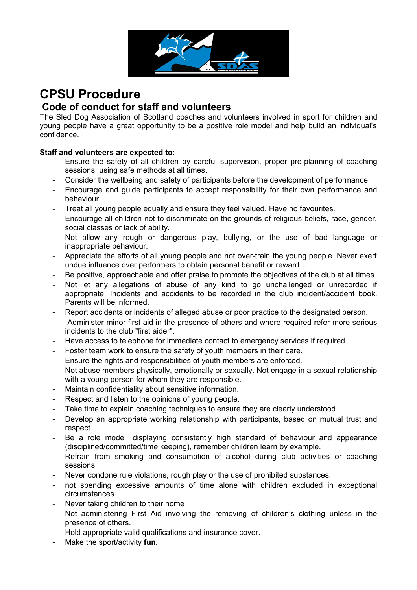

## **CPSU Procedure Code of conduct for staff and volunteers**

The Sled Dog Association of Scotland coaches and volunteers involved in sport for children and young people have a great opportunity to be a positive role model and help build an individual's confidence.

## **Staff and volunteers are expected to:**

- Ensure the safety of all children by careful supervision, proper pre-planning of coaching sessions, using safe methods at all times.
- Consider the wellbeing and safety of participants before the development of performance.
- Encourage and guide participants to accept responsibility for their own performance and behaviour.
- Treat all young people equally and ensure they feel valued. Have no favourites.
- Encourage all children not to discriminate on the grounds of religious beliefs, race, gender, social classes or lack of ability.
- Not allow any rough or dangerous play, bullying, or the use of bad language or inappropriate behaviour.
- Appreciate the efforts of all young people and not over-train the young people. Never exert undue influence over performers to obtain personal benefit or reward.
- Be positive, approachable and offer praise to promote the objectives of the club at all times.
- Not let any allegations of abuse of any kind to go unchallenged or unrecorded if appropriate. Incidents and accidents to be recorded in the club incident/accident book. Parents will be informed.
- Report accidents or incidents of alleged abuse or poor practice to the designated person.
- Administer minor first aid in the presence of others and where required refer more serious incidents to the club "first aider".
- Have access to telephone for immediate contact to emergency services if required.
- Foster team work to ensure the safety of youth members in their care.
- Ensure the rights and responsibilities of youth members are enforced.
- Not abuse members physically, emotionally or sexually. Not engage in a sexual relationship with a young person for whom they are responsible.
- Maintain confidentiality about sensitive information.
- Respect and listen to the opinions of young people.
- Take time to explain coaching techniques to ensure they are clearly understood.
- Develop an appropriate working relationship with participants, based on mutual trust and respect.
- Be a role model, displaying consistently high standard of behaviour and appearance (disciplined/committed/time keeping), remember children learn by example.
- Refrain from smoking and consumption of alcohol during club activities or coaching sessions.
- Never condone rule violations, rough play or the use of prohibited substances.
- not spending excessive amounts of time alone with children excluded in exceptional circumstances
- Never taking children to their home
- Not administering First Aid involving the removing of children's clothing unless in the presence of others.
- Hold appropriate valid qualifications and insurance cover.
- Make the sport/activity **fun.**